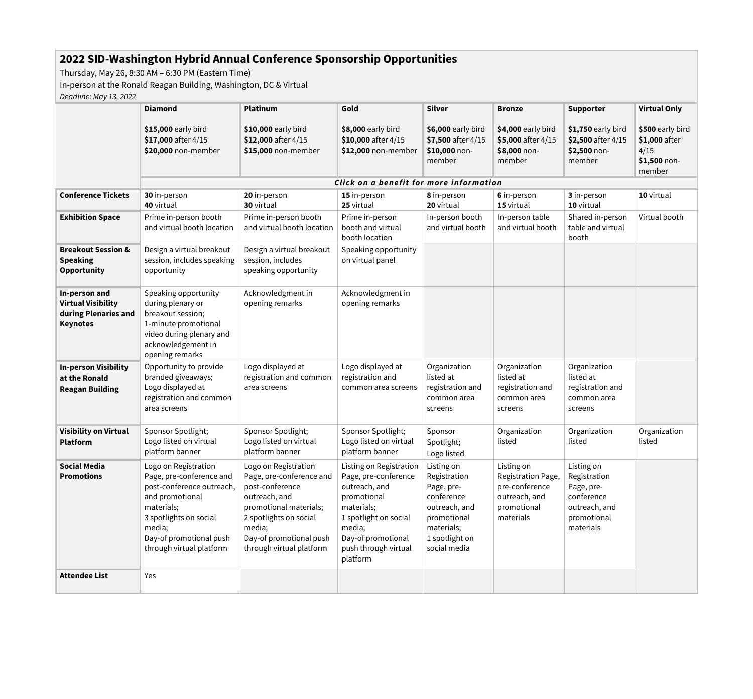## <span id="page-0-1"></span>**2022 SID-Washington Hybrid Annual Conference Sponsorship Opportunities**

Thursday, May 26, 8:30 AM – 6:30 PM (Eastern Time)

In-person at the Ronald Reagan Building, Washington, DC & Virtual

*Deadline: May 13, 2022*

<span id="page-0-0"></span>

|                                                                                       | <b>Diamond</b>                                                                                                                                                                                            | <b>Platinum</b>                                                                                                                                                                                           | Gold                                                                                                                                                                                       | <b>Silver</b>                                                                                                                          | <b>Bronze</b>                                                                                   | <b>Supporter</b>                                                                                    | <b>Virtual Only</b>                                                  |
|---------------------------------------------------------------------------------------|-----------------------------------------------------------------------------------------------------------------------------------------------------------------------------------------------------------|-----------------------------------------------------------------------------------------------------------------------------------------------------------------------------------------------------------|--------------------------------------------------------------------------------------------------------------------------------------------------------------------------------------------|----------------------------------------------------------------------------------------------------------------------------------------|-------------------------------------------------------------------------------------------------|-----------------------------------------------------------------------------------------------------|----------------------------------------------------------------------|
|                                                                                       | \$15,000 early bird<br>\$17,000 after 4/15<br>\$20,000 non-member                                                                                                                                         | \$10,000 early bird<br>\$12,000 after 4/15<br>\$15,000 non-member                                                                                                                                         | \$8,000 early bird<br>\$10,000 after 4/15<br>\$12,000 non-member                                                                                                                           | \$6,000 early bird<br>\$7,500 after 4/15<br>$$10,000$ non-<br>member                                                                   | \$4,000 early bird<br>\$5,000 after 4/15<br>\$8,000 non-<br>member                              | $$1,750$ early bird<br>\$2,500 after 4/15<br>\$2,500 non-<br>member                                 | \$500 early bird<br>\$1,000 after<br>4/15<br>$$1,500$ non-<br>member |
|                                                                                       | Click on a benefit for more information                                                                                                                                                                   |                                                                                                                                                                                                           |                                                                                                                                                                                            |                                                                                                                                        |                                                                                                 |                                                                                                     |                                                                      |
| <b>Conference Tickets</b>                                                             | 30 in-person<br>40 virtual                                                                                                                                                                                | 20 in-person<br>30 virtual                                                                                                                                                                                | 15 in-person<br>25 virtual                                                                                                                                                                 | 8 in-person<br>20 virtual                                                                                                              | 6 in-person<br>15 virtual                                                                       | 3 in-person<br>10 virtual                                                                           | 10 virtual                                                           |
| <b>Exhibition Space</b>                                                               | Prime in-person booth<br>and virtual booth location                                                                                                                                                       | Prime in-person booth<br>and virtual booth location                                                                                                                                                       | Prime in-person<br>booth and virtual<br>booth location                                                                                                                                     | In-person booth<br>and virtual booth                                                                                                   | In-person table<br>and virtual booth                                                            | Shared in-person<br>table and virtual<br>booth                                                      | Virtual booth                                                        |
| <b>Breakout Session &amp;</b><br><b>Speaking</b><br><b>Opportunity</b>                | Design a virtual breakout<br>session, includes speaking<br>opportunity                                                                                                                                    | Design a virtual breakout<br>session, includes<br>speaking opportunity                                                                                                                                    | Speaking opportunity<br>on virtual panel                                                                                                                                                   |                                                                                                                                        |                                                                                                 |                                                                                                     |                                                                      |
| In-person and<br><b>Virtual Visibility</b><br>during Plenaries and<br><b>Keynotes</b> | Speaking opportunity<br>during plenary or<br>breakout session;<br>1-minute promotional<br>video during plenary and<br>acknowledgement in<br>opening remarks                                               | Acknowledgment in<br>opening remarks                                                                                                                                                                      | Acknowledgment in<br>opening remarks                                                                                                                                                       |                                                                                                                                        |                                                                                                 |                                                                                                     |                                                                      |
| <b>In-person Visibility</b><br>at the Ronald<br><b>Reagan Building</b>                | Opportunity to provide<br>branded giveaways;<br>Logo displayed at<br>registration and common<br>area screens                                                                                              | Logo displayed at<br>registration and common<br>area screens                                                                                                                                              | Logo displayed at<br>registration and<br>common area screens                                                                                                                               | Organization<br>listed at<br>registration and<br>common area<br>screens                                                                | Organization<br>listed at<br>registration and<br>common area<br>screens                         | Organization<br>listed at<br>registration and<br>common area<br>screens                             |                                                                      |
| <b>Visibility on Virtual</b><br><b>Platform</b>                                       | Sponsor Spotlight;<br>Logo listed on virtual<br>platform banner                                                                                                                                           | Sponsor Spotlight;<br>Logo listed on virtual<br>platform banner                                                                                                                                           | Sponsor Spotlight;<br>Logo listed on virtual<br>platform banner                                                                                                                            | Sponsor<br>Spotlight;<br>Logo listed                                                                                                   | Organization<br>listed                                                                          | Organization<br>listed                                                                              | Organization<br>listed                                               |
| <b>Social Media</b><br><b>Promotions</b>                                              | Logo on Registration<br>Page, pre-conference and<br>post-conference outreach,<br>and promotional<br>materials;<br>3 spotlights on social<br>media;<br>Day-of promotional push<br>through virtual platform | Logo on Registration<br>Page, pre-conference and<br>post-conference<br>outreach, and<br>promotional materials;<br>2 spotlights on social<br>media;<br>Day-of promotional push<br>through virtual platform | Listing on Registration<br>Page, pre-conference<br>outreach, and<br>promotional<br>materials;<br>1 spotlight on social<br>media;<br>Day-of promotional<br>push through virtual<br>platform | Listing on<br>Registration<br>Page, pre-<br>conference<br>outreach, and<br>promotional<br>materials;<br>1 spotlight on<br>social media | Listing on<br>Registration Page,<br>pre-conference<br>outreach, and<br>promotional<br>materials | Listing on<br>Registration<br>Page, pre-<br>conference<br>outreach, and<br>promotional<br>materials |                                                                      |
| <b>Attendee List</b>                                                                  | Yes                                                                                                                                                                                                       |                                                                                                                                                                                                           |                                                                                                                                                                                            |                                                                                                                                        |                                                                                                 |                                                                                                     |                                                                      |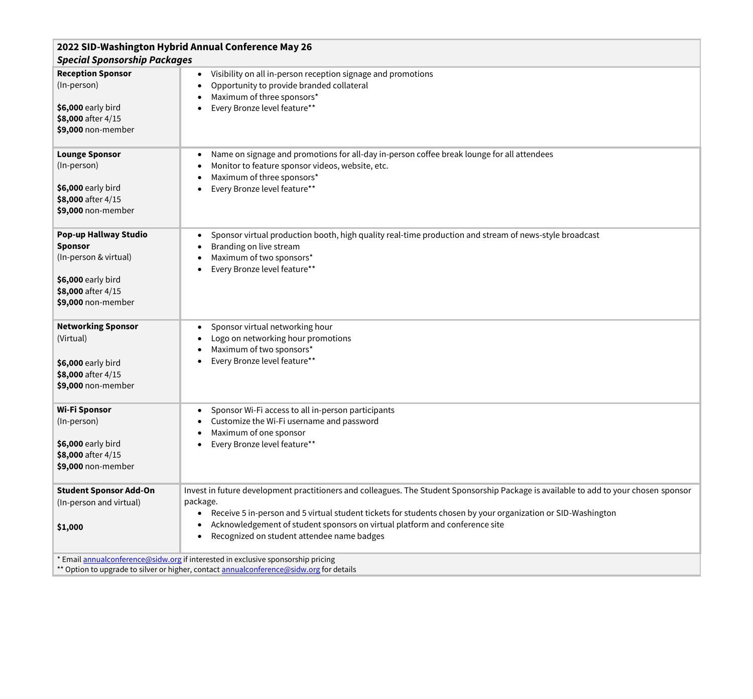| 2022 SID-Washington Hybrid Annual Conference May 26<br><b>Special Sponsorship Packages</b>                                         |                                                                                                                                                                                                                                                                                                                                                                                                |  |  |  |
|------------------------------------------------------------------------------------------------------------------------------------|------------------------------------------------------------------------------------------------------------------------------------------------------------------------------------------------------------------------------------------------------------------------------------------------------------------------------------------------------------------------------------------------|--|--|--|
| <b>Reception Sponsor</b><br>(In-person)<br>\$6,000 early bird<br>\$8,000 after 4/15<br>\$9,000 non-member                          | Visibility on all in-person reception signage and promotions<br>Opportunity to provide branded collateral<br>Maximum of three sponsors*<br>Every Bronze level feature**                                                                                                                                                                                                                        |  |  |  |
| <b>Lounge Sponsor</b><br>(In-person)<br>\$6,000 early bird<br>\$8,000 after 4/15<br>\$9,000 non-member                             | Name on signage and promotions for all-day in-person coffee break lounge for all attendees<br>Monitor to feature sponsor videos, website, etc.<br>Maximum of three sponsors*<br>Every Bronze level feature**                                                                                                                                                                                   |  |  |  |
| Pop-up Hallway Studio<br><b>Sponsor</b><br>(In-person & virtual)<br>\$6,000 early bird<br>\$8,000 after 4/15<br>\$9,000 non-member | Sponsor virtual production booth, high quality real-time production and stream of news-style broadcast<br>Branding on live stream<br>Maximum of two sponsors*<br>Every Bronze level feature**                                                                                                                                                                                                  |  |  |  |
| <b>Networking Sponsor</b><br>(Virtual)<br>\$6,000 early bird<br>\$8,000 after 4/15<br>\$9,000 non-member                           | Sponsor virtual networking hour<br>$\bullet$<br>Logo on networking hour promotions<br>Maximum of two sponsors*<br>Every Bronze level feature**                                                                                                                                                                                                                                                 |  |  |  |
| <b>Wi-Fi Sponsor</b><br>(In-person)<br>\$6,000 early bird<br>\$8,000 after 4/15<br>\$9,000 non-member                              | Sponsor Wi-Fi access to all in-person participants<br>Customize the Wi-Fi username and password<br>Maximum of one sponsor<br>Every Bronze level feature**                                                                                                                                                                                                                                      |  |  |  |
| <b>Student Sponsor Add-On</b><br>(In-person and virtual)<br>\$1,000                                                                | Invest in future development practitioners and colleagues. The Student Sponsorship Package is available to add to your chosen sponsor<br>package.<br>Receive 5 in-person and 5 virtual student tickets for students chosen by your organization or SID-Washington<br>Acknowledgement of student sponsors on virtual platform and conference site<br>Recognized on student attendee name badges |  |  |  |
|                                                                                                                                    | * Email annualconference@sidw.org if interested in exclusive sponsorship pricing<br>** Option to upgrade to silver or higher, contact <b>annualconference@sidw.org</b> for details                                                                                                                                                                                                             |  |  |  |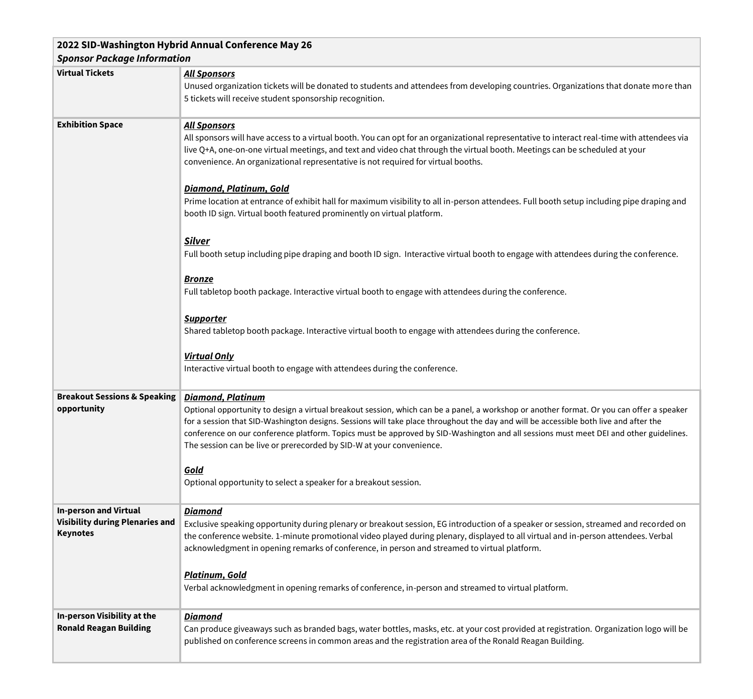<span id="page-2-9"></span><span id="page-2-8"></span><span id="page-2-7"></span><span id="page-2-6"></span><span id="page-2-5"></span><span id="page-2-4"></span><span id="page-2-3"></span><span id="page-2-2"></span><span id="page-2-1"></span><span id="page-2-0"></span>

| 2022 SID-Washington Hybrid Annual Conference May 26                                       |                                                                                                                                                                                                                                                                                                                                                                                                                                                                                                                                 |  |  |  |  |
|-------------------------------------------------------------------------------------------|---------------------------------------------------------------------------------------------------------------------------------------------------------------------------------------------------------------------------------------------------------------------------------------------------------------------------------------------------------------------------------------------------------------------------------------------------------------------------------------------------------------------------------|--|--|--|--|
| <b>Sponsor Package Information</b>                                                        |                                                                                                                                                                                                                                                                                                                                                                                                                                                                                                                                 |  |  |  |  |
| <b>Virtual Tickets</b>                                                                    | <b>All Sponsors</b><br>Unused organization tickets will be donated to students and attendees from developing countries. Organizations that donate more than<br>5 tickets will receive student sponsorship recognition.                                                                                                                                                                                                                                                                                                          |  |  |  |  |
| <b>Exhibition Space</b>                                                                   | <b>All Sponsors</b><br>All sponsors will have access to a virtual booth. You can opt for an organizational representative to interact real-time with attendees via<br>live Q+A, one-on-one virtual meetings, and text and video chat through the virtual booth. Meetings can be scheduled at your<br>convenience. An organizational representative is not required for virtual booths.                                                                                                                                          |  |  |  |  |
|                                                                                           | Diamond, Platinum, Gold<br>Prime location at entrance of exhibit hall for maximum visibility to all in-person attendees. Full booth setup including pipe draping and<br>booth ID sign. Virtual booth featured prominently on virtual platform.                                                                                                                                                                                                                                                                                  |  |  |  |  |
|                                                                                           | <b>Silver</b><br>Full booth setup including pipe draping and booth ID sign. Interactive virtual booth to engage with attendees during the conference.                                                                                                                                                                                                                                                                                                                                                                           |  |  |  |  |
|                                                                                           | <b>Bronze</b><br>Full tabletop booth package. Interactive virtual booth to engage with attendees during the conference.                                                                                                                                                                                                                                                                                                                                                                                                         |  |  |  |  |
|                                                                                           | <b>Supporter</b><br>Shared tabletop booth package. Interactive virtual booth to engage with attendees during the conference.                                                                                                                                                                                                                                                                                                                                                                                                    |  |  |  |  |
|                                                                                           | <b>Virtual Only</b><br>Interactive virtual booth to engage with attendees during the conference.                                                                                                                                                                                                                                                                                                                                                                                                                                |  |  |  |  |
| <b>Breakout Sessions &amp; Speaking</b><br>opportunity                                    | <b>Diamond, Platinum</b><br>Optional opportunity to design a virtual breakout session, which can be a panel, a workshop or another format. Or you can offer a speaker<br>for a session that SID-Washington designs. Sessions will take place throughout the day and will be accessible both live and after the<br>conference on our conference platform. Topics must be approved by SID-Washington and all sessions must meet DEI and other guidelines.<br>The session can be live or prerecorded by SID-W at your convenience. |  |  |  |  |
|                                                                                           | Gold<br>Optional opportunity to select a speaker for a breakout session.                                                                                                                                                                                                                                                                                                                                                                                                                                                        |  |  |  |  |
| <b>In-person and Virtual</b><br><b>Visibility during Plenaries and</b><br><b>Keynotes</b> | <b>Diamond</b><br>Exclusive speaking opportunity during plenary or breakout session, EG introduction of a speaker or session, streamed and recorded on<br>the conference website. 1-minute promotional video played during plenary, displayed to all virtual and in-person attendees. Verbal<br>acknowledgment in opening remarks of conference, in person and streamed to virtual platform.                                                                                                                                    |  |  |  |  |
|                                                                                           | Platinum, Gold<br>Verbal acknowledgment in opening remarks of conference, in-person and streamed to virtual platform.                                                                                                                                                                                                                                                                                                                                                                                                           |  |  |  |  |
| <b>In-person Visibility at the</b>                                                        | <b>Diamond</b>                                                                                                                                                                                                                                                                                                                                                                                                                                                                                                                  |  |  |  |  |
| <b>Ronald Reagan Building</b>                                                             | Can produce giveaways such as branded bags, water bottles, masks, etc. at your cost provided at registration. Organization logo will be<br>published on conference screens in common areas and the registration area of the Ronald Reagan Building.                                                                                                                                                                                                                                                                             |  |  |  |  |